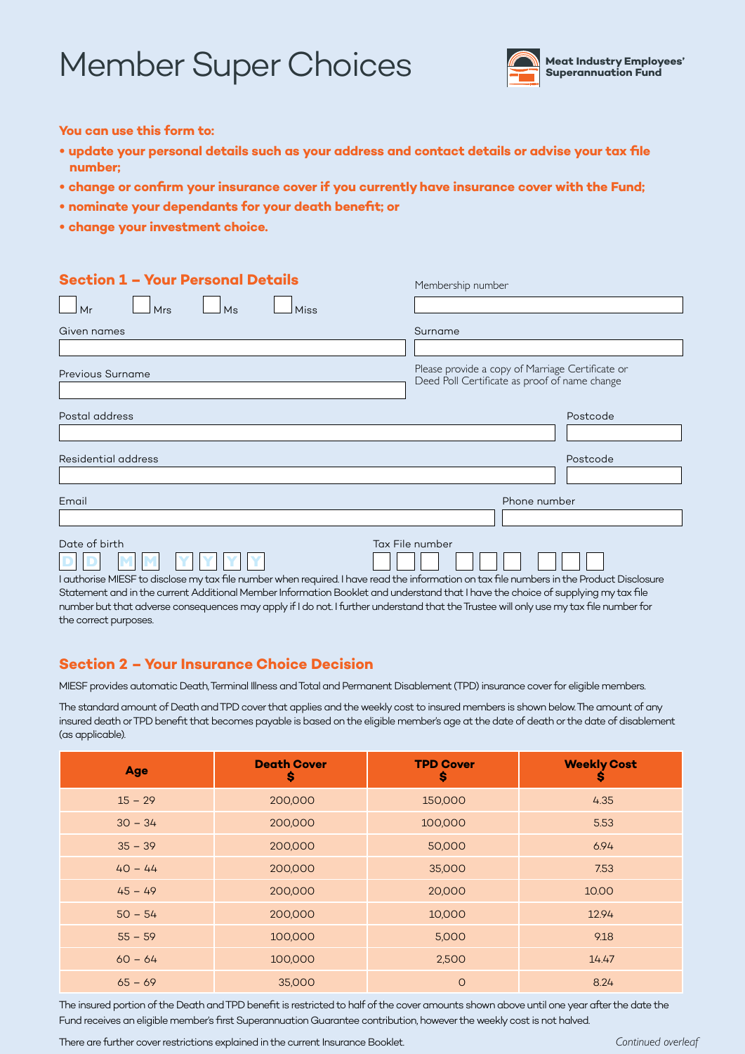# Member Super Choices



**You can use this form to:**

- **• update your personal details such as your address and contact details or advise your tax file number;**
- **• change or confirm your insurance cover if you currently have insurance cover with the Fund;**
- **• nominate your dependants for your death benefit; or**
- **• change your investment choice.**

| <b>Section 1 - Your Personal Details</b>                                                                                                  | Membership number                                                                                 |
|-------------------------------------------------------------------------------------------------------------------------------------------|---------------------------------------------------------------------------------------------------|
| Mrs<br><b>Miss</b><br>Mr<br>Ms                                                                                                            |                                                                                                   |
| Given names                                                                                                                               | Surname                                                                                           |
|                                                                                                                                           |                                                                                                   |
| Previous Surname                                                                                                                          | Please provide a copy of Marriage Certificate or<br>Deed Poll Certificate as proof of name change |
| Postal address                                                                                                                            | Postcode                                                                                          |
|                                                                                                                                           |                                                                                                   |
| Residential address                                                                                                                       | Postcode                                                                                          |
|                                                                                                                                           |                                                                                                   |
| Email                                                                                                                                     | Phone number                                                                                      |
|                                                                                                                                           |                                                                                                   |
| Date of birth                                                                                                                             | Tax File number                                                                                   |
|                                                                                                                                           |                                                                                                   |
| I authorise MIESF to disclose my tax file number when required. I have read the information on tax file numbers in the Product Disclosure |                                                                                                   |
| Statement and in the current Additional Member Information Booklet and understand that I have the choice of supplying my tay file         |                                                                                                   |

and that I have the choice of supplying my t number but that adverse consequences may apply if I do not. I further understand that the Trustee will only use my tax file number for the correct purposes.

## **Section 2 – Your Insurance Choice Decision**

MIESF provides automatic Death, Terminal Illness and Total and Permanent Disablement (TPD) insurance cover for eligible members.

The standard amount of Death and TPD cover that applies and the weekly cost to insured members is shown below. The amount of any insured death or TPD benefit that becomes payable is based on the eligible member's age at the date of death or the date of disablement (as applicable).

| <b>Age</b> | <b>Death Cover</b><br>\$ | <b>TPD Cover</b><br>\$ | <b>Weekly Cost</b><br>s |
|------------|--------------------------|------------------------|-------------------------|
| $15 - 29$  | 200,000                  | 150,000                | 4.35                    |
| $30 - 34$  | 200,000                  | 100,000                | 5.53                    |
| $35 - 39$  | 200,000                  | 50,000                 | 6.94                    |
| $40 - 44$  | 200,000                  | 35,000                 | 7.53                    |
| $45 - 49$  | 200,000                  | 20,000                 | 10.00                   |
| $50 - 54$  | 200,000                  | 10,000                 | 12.94                   |
| $55 - 59$  | 100,000                  | 5,000                  | 9.18                    |
| $60 - 64$  | 100,000                  | 2,500                  | 14.47                   |
| $65 - 69$  | 35,000                   | $\circ$                | 8.24                    |

The insured portion of the Death and TPD benefit is restricted to half of the cover amounts shown above until one year after the date the Fund receives an eligible member's first Superannuation Guarantee contribution, however the weekly cost is not halved.

There are further cover restrictions explained in the current Insurance Booklet.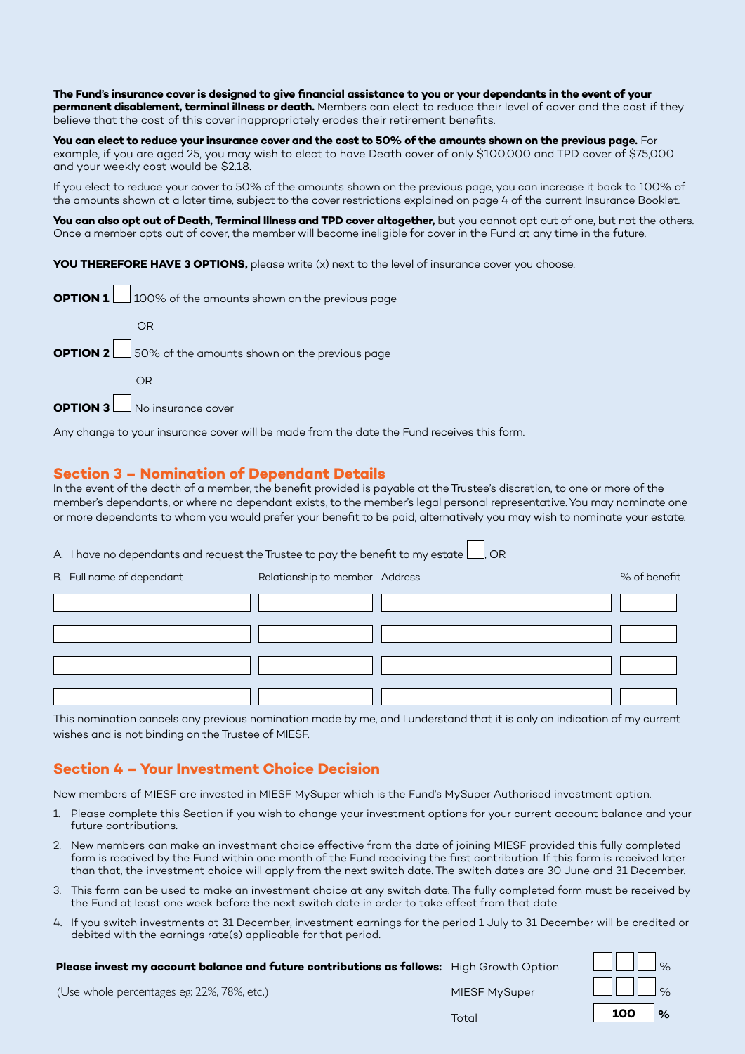**The Fund's insurance cover is designed to give financial assistance to you or your dependants in the event of your permanent disablement, terminal illness or death.** Members can elect to reduce their level of cover and the cost if they believe that the cost of this cover inappropriately erodes their retirement benefits.

**You can elect to reduce your insurance cover and the cost to 50% of the amounts shown on the previous page.** For example, if you are aged 25, you may wish to elect to have Death cover of only \$100,000 and TPD cover of \$75,000 and your weekly cost would be \$2.18.

If you elect to reduce your cover to 50% of the amounts shown on the previous page, you can increase it back to 100% of the amounts shown at a later time, subject to the cover restrictions explained on page 4 of the current Insurance Booklet.

**You can also opt out of Death, Terminal Illness and TPD cover altogether,** but you cannot opt out of one, but not the others. Once a member opts out of cover, the member will become ineligible for cover in the Fund at any time in the future.

**YOU THEREFORE HAVE 3 OPTIONS,** please write (x) next to the level of insurance cover you choose.

| <b>OPTION 1</b> 100% of the amounts shown on the previous page |
|----------------------------------------------------------------|
| OR                                                             |
| <b>OPTION 2</b> 50% of the amounts shown on the previous page  |
| ΩR                                                             |
|                                                                |

**OPTION 3** No insurance cover

Any change to your insurance cover will be made from the date the Fund receives this form.

## **Section 3 – Nomination of Dependant Details**

In the event of the death of a member, the benefit provided is payable at the Trustee's discretion, to one or more of the member's dependants, or where no dependant exists, to the member's legal personal representative. You may nominate one or more dependants to whom you would prefer your benefit to be paid, alternatively you may wish to nominate your estate.

A. I have no dependants and request the Trustee to pay the benefit to my estate  $\Box$ , OR

| B. Full name of dependant | Relationship to member Address | % of benefit |
|---------------------------|--------------------------------|--------------|
|                           |                                |              |
|                           |                                |              |
|                           |                                |              |
|                           |                                |              |

This nomination cancels any previous nomination made by me, and I understand that it is only an indication of my current wishes and is not binding on the Trustee of MIESF.

## **Section 4 – Your Investment Choice Decision**

New members of MIESF are invested in MIESF MySuper which is the Fund's MySuper Authorised investment option.

- 1. Please complete this Section if you wish to change your investment options for your current account balance and your future contributions.
- 2. New members can make an investment choice effective from the date of joining MIESF provided this fully completed form is received by the Fund within one month of the Fund receiving the first contribution. If this form is received later than that, the investment choice will apply from the next switch date. The switch dates are 30 June and 31 December.
- 3. This form can be used to make an investment choice at any switch date. The fully completed form must be received by the Fund at least one week before the next switch date in order to take effect from that date.
- 4. If you switch investments at 31 December, investment earnings for the period 1 July to 31 December will be credited or debited with the earnings rate(s) applicable for that period.

 **Please invest my account balance and future contributions as follows:** High Growth Option %

(Use whole percentages eg: 22%, 78%, etc.) MIESF MySuper

| High Growth Option |                         | $\sim$        |
|--------------------|-------------------------|---------------|
| MIESF MySuper      | $\parallel$ $\mid$ $\%$ |               |
| Total              | 100                     | $\frac{9}{6}$ |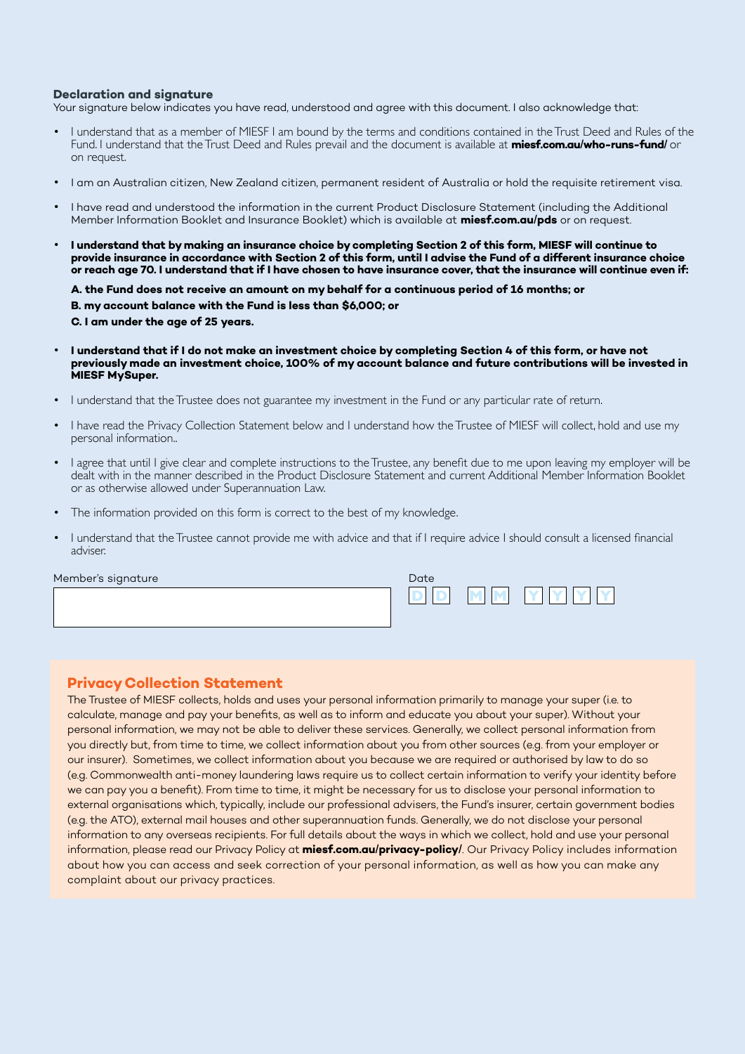#### **Declaration and signature**

Your signature below indicates you have read, understood and agree with this document. I also acknowledge that:

- I understand that as a member of MIESF I am bound by the terms and conditions contained in the Trust Deed and Rules of the Fund. I understand that the Trust Deed and Rules prevail and the document is available at **miesf.com.au/who-runs-fund/** or on request.
- I am an Australian citizen, New Zealand citizen, permanent resident of Australia or hold the requisite retirement visa.
- I have read and understood the information in the current Product Disclosure Statement (including the Additional Member Information Booklet and Insurance Booklet) which is available at **miesf.com.au/pds** or on request.
- **I understand that by making an insurance choice by completing Section 2 of this form, MIESF will continue to provide insurance in accordance with Section 2 of this form, until I advise the Fund of a different insurance choice or reach age 70. I understand that if I have chosen to have insurance cover, that the insurance will continue even if:**

**A. the Fund does not receive an amount on my behalf for a continuous period of 16 months; or B. my account balance with the Fund is less than \$6,000; or C. I am under the age of 25 years.**

- **I understand that if I do not make an investment choice by completing Section 4 of this form, or have not previously made an investment choice, 100% of my account balance and future contributions will be invested in MIESF MySuper.**
- I understand that the Trustee does not guarantee my investment in the Fund or any particular rate of return.
- I have read the Privacy Collection Statement below and I understand how the Trustee of MIESF will collect, hold and use my personal information..
- I agree that until I give clear and complete instructions to the Trustee, any benefit due to me upon leaving my employer will be dealt with in the manner described in the Product Disclosure Statement and current Additional Member Information Booklet or as otherwise allowed under Superannuation Law.
- The information provided on this form is correct to the best of my knowledge.
- I understand that the Trustee cannot provide me with advice and that if I require advice I should consult a licensed financial adviser.

Member's signature

| Date. |               |  |
|-------|---------------|--|
|       | <b>TY Y Y</b> |  |

#### **Privacy Collection Statement**

The Trustee of MIESF collects, holds and uses your personal information primarily to manage your super (i.e. to calculate, manage and pay your benefits, as well as to inform and educate you about your super). Without your personal information, we may not be able to deliver these services. Generally, we collect personal information from you directly but, from time to time, we collect information about you from other sources (e.g. from your employer or our insurer). Sometimes, we collect information about you because we are required or authorised by law to do so (e.g. Commonwealth anti-money laundering laws require us to collect certain information to verify your identity before we can pay you a benefit). From time to time, it might be necessary for us to disclose your personal information to external organisations which, typically, include our professional advisers, the Fund's insurer, certain government bodies (e.g. the ATO), external mail houses and other superannuation funds. Generally, we do not disclose your personal information to any overseas recipients. For full details about the ways in which we collect, hold and use your personal information, please read our Privacy Policy at **miesf.com.au/privacy-policy/**. Our Privacy Policy includes information about how you can access and seek correction of your personal information, as well as how you can make any complaint about our privacy practices.